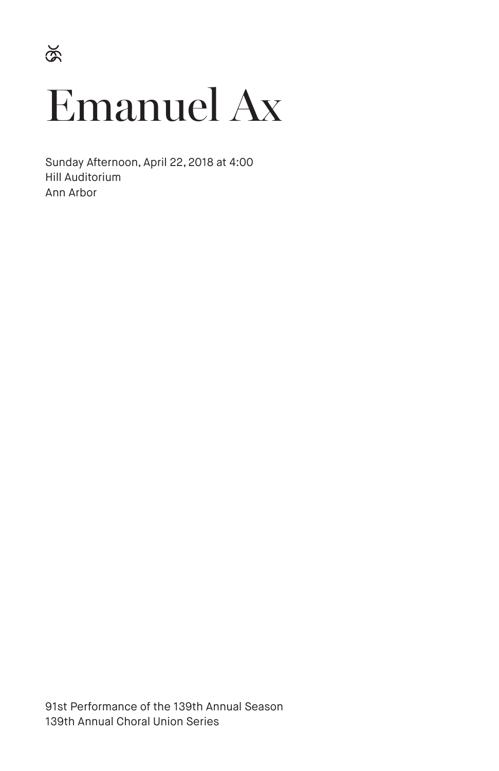$\widetilde{\mathcal{S}}$ 

# Emanuel Ax

Sunday Afternoon, April 22, 2018 at 4:00 Hill Auditorium Ann Arbor

91st Performance of the 139th Annual Season 139th Annual Choral Union Series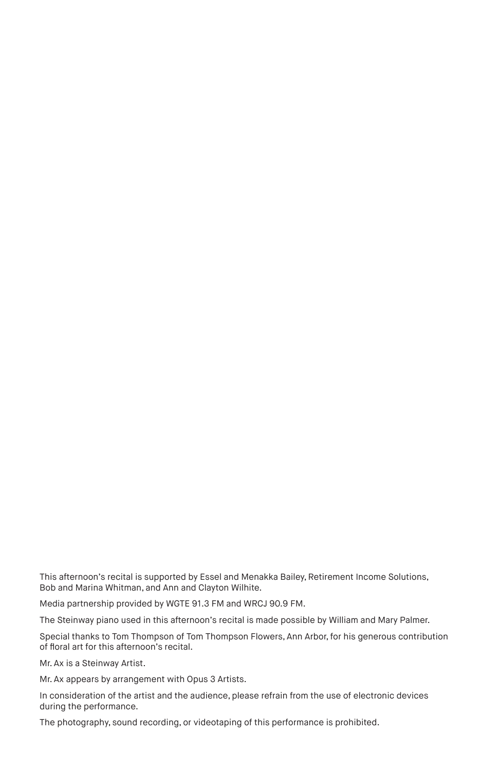This afternoon's recital is supported by Essel and Menakka Bailey, Retirement Income Solutions, Bob and Marina Whitman, and Ann and Clayton Wilhite.

Media partnership provided by WGTE 91.3 FM and WRCJ 90.9 FM.

The Steinway piano used in this afternoon's recital is made possible by William and Mary Palmer.

Special thanks to Tom Thompson of Tom Thompson Flowers, Ann Arbor, for his generous contribution of floral art for this afternoon's recital.

Mr. Ax is a Steinway Artist.

Mr. Ax appears by arrangement with Opus 3 Artists.

In consideration of the artist and the audience, please refrain from the use of electronic devices during the performance.

The photography, sound recording, or videotaping of this performance is prohibited.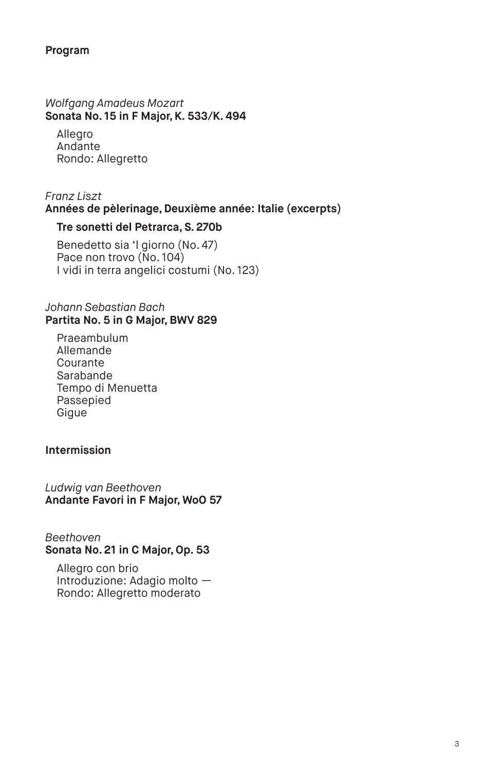## **Program**

#### *Wolfgang Amadeus Mozart*  **Sonata No. 15 in F Major, K. 533/K. 494**

Allegro Andante Rondo: Allegretto

# *Franz Liszt*  **Années de pèlerinage, Deuxième année: Italie (excerpts)**

## **Tre sonetti del Petrarca, S. 270b**

Benedetto sia 'l giorno (No. 47) Pace non trovo (No. 104) I vidi in terra angelici costumi (No. 123)

#### *Johann Sebastian Bach*  **Partita No. 5 in G Major, BWV 829**

Praeambulum Allemande Courante Sarabande Tempo di Menuetta Passepied Gigue

## **Intermission**

*Ludwig van Beethoven*  **Andante Favori in F Major, WoO 57** 

#### *Beethoven*  **Sonata No. 21 in C Major, Op. 53**

Allegro con brio Introduzione: Adagio molto — Rondo: Allegretto moderato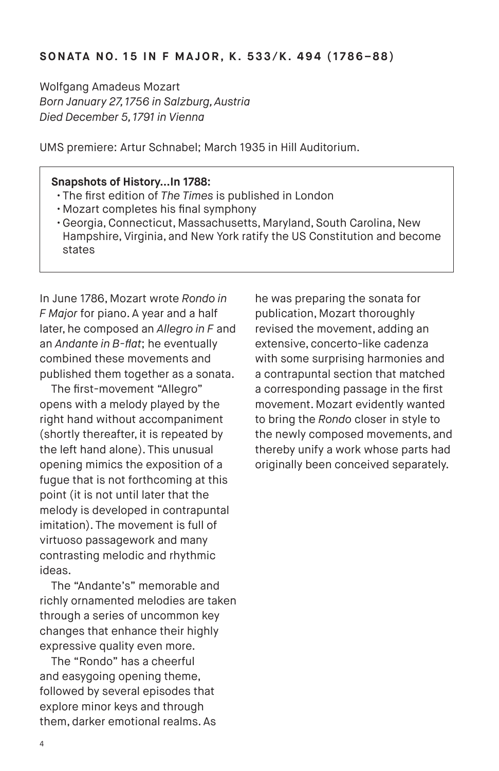Wolfgang Amadeus Mozart *Born January 27, 1756 in Salzburg, Austria Died December 5, 1791 in Vienna*

UMS premiere: Artur Schnabel; March 1935 in Hill Auditorium.

## **Snapshots of History…In 1788:**

- The first edition of *The Times* is published in London
- Mozart completes his final symphony
- Georgia, Connecticut, Massachusetts, Maryland, South Carolina, New Hampshire, Virginia, and New York ratify the US Constitution and become states

In June 1786, Mozart wrote *Rondo in F Major* for piano. A year and a half later, he composed an *Allegro in F* and an *Andante in B-flat*; he eventually combined these movements and published them together as a sonata.

The first-movement "Allegro" opens with a melody played by the right hand without accompaniment (shortly thereafter, it is repeated by the left hand alone). This unusual opening mimics the exposition of a fugue that is not forthcoming at this point (it is not until later that the melody is developed in contrapuntal imitation). The movement is full of virtuoso passagework and many contrasting melodic and rhythmic ideas.

The "Andante's" memorable and richly ornamented melodies are taken through a series of uncommon key changes that enhance their highly expressive quality even more.

The "Rondo" has a cheerful and easygoing opening theme, followed by several episodes that explore minor keys and through them, darker emotional realms. As

he was preparing the sonata for publication, Mozart thoroughly revised the movement, adding an extensive, concerto-like cadenza with some surprising harmonies and a contrapuntal section that matched a corresponding passage in the first movement. Mozart evidently wanted to bring the *Rondo* closer in style to the newly composed movements, and thereby unify a work whose parts had originally been conceived separately.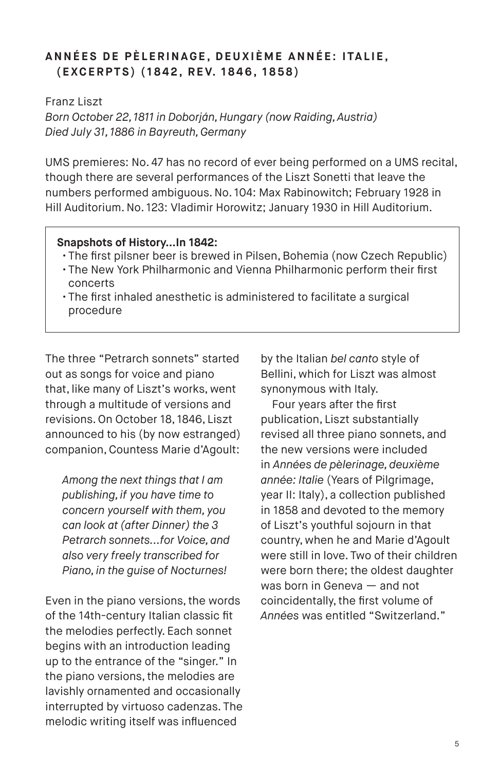# **ANNÉES DE PÈLERINAGE, DEUXIÈME ANNÉE: ITALIE, ( E XC E R P T S ) ( 1 8 4 2 , R E V. 1 8 4 6 , 1 8 5 8 )**

Franz Liszt

*Born October 22, 1811 in Doborján, Hungary (now Raiding, Austria) Died July 31, 1886 in Bayreuth, Germany*

UMS premieres: No. 47 has no record of ever being performed on a UMS recital, though there are several performances of the Liszt Sonetti that leave the numbers performed ambiguous. No. 104: Max Rabinowitch; February 1928 in Hill Auditorium. No. 123: Vladimir Horowitz; January 1930 in Hill Auditorium.

## **Snapshots of History…In 1842:**

- The first pilsner beer is brewed in Pilsen, Bohemia (now Czech Republic)
- The New York Philharmonic and Vienna Philharmonic perform their first concerts
- The first inhaled anesthetic is administered to facilitate a surgical procedure

The three "Petrarch sonnets" started out as songs for voice and piano that, like many of Liszt's works, went through a multitude of versions and revisions. On October 18, 1846, Liszt announced to his (by now estranged) companion, Countess Marie d'Agoult:

*Among the next things that I am publishing, if you have time to concern yourself with them, you can look at (after Dinner) the 3 Petrarch sonnets...for Voice, and also very freely transcribed for Piano, in the guise of Nocturnes!*

Even in the piano versions, the words of the 14th-century Italian classic fit the melodies perfectly. Each sonnet begins with an introduction leading up to the entrance of the "singer." In the piano versions, the melodies are lavishly ornamented and occasionally interrupted by virtuoso cadenzas. The melodic writing itself was influenced

by the Italian *bel canto* style of Bellini, which for Liszt was almost synonymous with Italy.

Four years after the first publication, Liszt substantially revised all three piano sonnets, and the new versions were included in *Années de pèlerinage, deuxième année: Italie* (Years of Pilgrimage, year II: Italy), a collection published in 1858 and devoted to the memory of Liszt's youthful sojourn in that country, when he and Marie d'Agoult were still in love. Two of their children were born there; the oldest daughter was born in Geneva — and not coincidentally, the first volume of *Années* was entitled "Switzerland."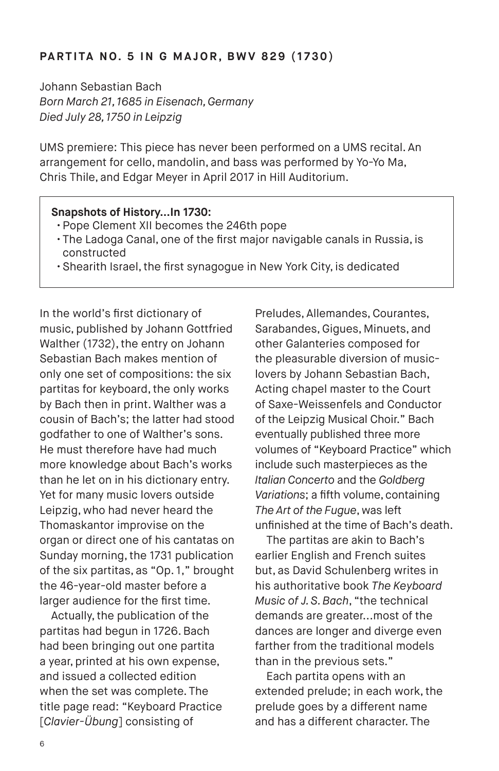## **PARTITA NO. 5 IN G MAJOR, BWV 829 (1730)**

Johann Sebastian Bach *Born March 21, 1685 in Eisenach, Germany Died July 28, 1750 in Leipzig*

UMS premiere: This piece has never been performed on a UMS recital. An arrangement for cello, mandolin, and bass was performed by Yo-Yo Ma, Chris Thile, and Edgar Meyer in April 2017 in Hill Auditorium.

## **Snapshots of History…In 1730:**

- Pope Clement XII becomes the 246th pope
- The Ladoga Canal, one of the first major navigable canals in Russia, is constructed
- Shearith Israel, the first synagogue in New York City, is dedicated

In the world's first dictionary of music, published by Johann Gottfried Walther (1732), the entry on Johann Sebastian Bach makes mention of only one set of compositions: the six partitas for keyboard, the only works by Bach then in print. Walther was a cousin of Bach's; the latter had stood godfather to one of Walther's sons. He must therefore have had much more knowledge about Bach's works than he let on in his dictionary entry. Yet for many music lovers outside Leipzig, who had never heard the Thomaskantor improvise on the organ or direct one of his cantatas on Sunday morning, the 1731 publication of the six partitas, as "Op. 1," brought the 46-year-old master before a larger audience for the first time.

Actually, the publication of the partitas had begun in 1726. Bach had been bringing out one partita a year, printed at his own expense, and issued a collected edition when the set was complete. The title page read: "Keyboard Practice [*Clavier-Übung*] consisting of

Preludes, Allemandes, Courantes, Sarabandes, Gigues, Minuets, and other Galanteries composed for the pleasurable diversion of musiclovers by Johann Sebastian Bach, Acting chapel master to the Court of Saxe-Weissenfels and Conductor of the Leipzig Musical Choir." Bach eventually published three more volumes of "Keyboard Practice" which include such masterpieces as the *Italian Concerto* and the *Goldberg Variations*; a fifth volume, containing *The Art of the Fugue*, was left unfinished at the time of Bach's death.

The partitas are akin to Bach's earlier English and French suites but, as David Schulenberg writes in his authoritative book *The Keyboard Music of J. S. Bach*, "the technical demands are greater...most of the dances are longer and diverge even farther from the traditional models than in the previous sets."

Each partita opens with an extended prelude; in each work, the prelude goes by a different name and has a different character. The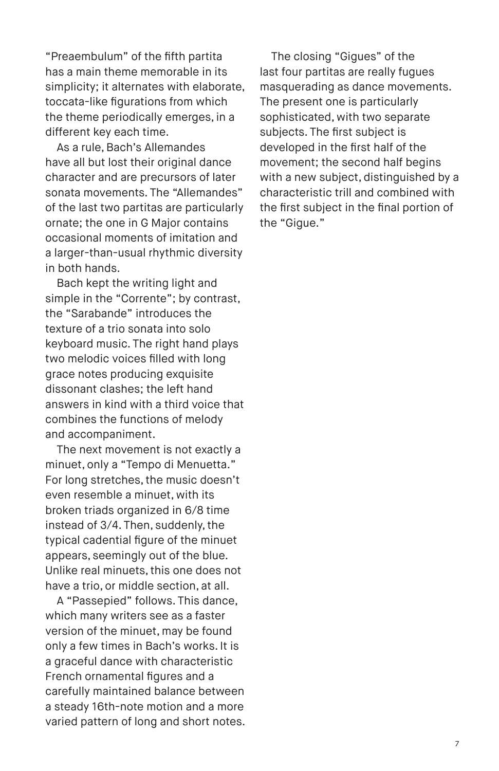"Preaembulum" of the fifth partita has a main theme memorable in its simplicity; it alternates with elaborate, toccata-like figurations from which the theme periodically emerges, in a different key each time.

As a rule, Bach's Allemandes have all but lost their original dance character and are precursors of later sonata movements. The "Allemandes" of the last two partitas are particularly ornate; the one in G Major contains occasional moments of imitation and a larger-than-usual rhythmic diversity in both hands.

Bach kept the writing light and simple in the "Corrente"; by contrast, the "Sarabande" introduces the texture of a trio sonata into solo keyboard music. The right hand plays two melodic voices filled with long grace notes producing exquisite dissonant clashes; the left hand answers in kind with a third voice that combines the functions of melody and accompaniment.

The next movement is not exactly a minuet, only a "Tempo di Menuetta." For long stretches, the music doesn't even resemble a minuet, with its broken triads organized in 6/8 time instead of 3/4. Then, suddenly, the typical cadential figure of the minuet appears, seemingly out of the blue. Unlike real minuets, this one does not have a trio, or middle section, at all.

A "Passepied" follows. This dance, which many writers see as a faster version of the minuet, may be found only a few times in Bach's works. It is a graceful dance with characteristic French ornamental figures and a carefully maintained balance between a steady 16th-note motion and a more varied pattern of long and short notes.

The closing "Gigues" of the last four partitas are really fugues masquerading as dance movements. The present one is particularly sophisticated, with two separate subjects. The first subject is developed in the first half of the movement; the second half begins with a new subject, distinguished by a characteristic trill and combined with the first subject in the final portion of the "Gigue."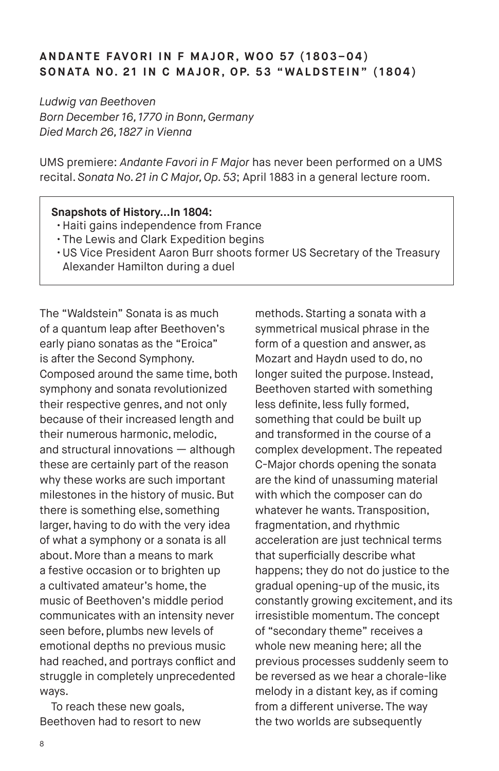# **ANDANTE FAVORI IN F MAJOR, WOO 57 (1803–04)** SONATA NO. 21 IN C MAJOR, OP. 53 "WALDSTEIN" (1804)

*Ludwig van Beethoven Born December 16, 1770 in Bonn, Germany Died March 26, 1827 in Vienna*

UMS premiere: *Andante Favori in F Major* has never been performed on a UMS recital. *Sonata No. 21 in C Major, Op. 53*; April 1883 in a general lecture room.

#### **Snapshots of History…In 1804:**

- Haiti gains independence from France
- The Lewis and Clark Expedition begins
- US Vice President Aaron Burr shoots former US Secretary of the Treasury Alexander Hamilton during a duel

The "Waldstein" Sonata is as much of a quantum leap after Beethoven's early piano sonatas as the "Eroica" is after the Second Symphony. Composed around the same time, both symphony and sonata revolutionized their respective genres, and not only because of their increased length and their numerous harmonic, melodic, and structural innovations — although these are certainly part of the reason why these works are such important milestones in the history of music. But there is something else, something larger, having to do with the very idea of what a symphony or a sonata is all about. More than a means to mark a festive occasion or to brighten up a cultivated amateur's home, the music of Beethoven's middle period communicates with an intensity never seen before, plumbs new levels of emotional depths no previous music had reached, and portrays conflict and struggle in completely unprecedented ways.

To reach these new goals, Beethoven had to resort to new

methods. Starting a sonata with a symmetrical musical phrase in the form of a question and answer, as Mozart and Haydn used to do, no longer suited the purpose. Instead, Beethoven started with something less definite, less fully formed, something that could be built up and transformed in the course of a complex development. The repeated C-Major chords opening the sonata are the kind of unassuming material with which the composer can do whatever he wants. Transposition, fragmentation, and rhythmic acceleration are just technical terms that superficially describe what happens; they do not do justice to the gradual opening-up of the music, its constantly growing excitement, and its irresistible momentum. The concept of "secondary theme" receives a whole new meaning here; all the previous processes suddenly seem to be reversed as we hear a chorale-like melody in a distant key, as if coming from a different universe. The way the two worlds are subsequently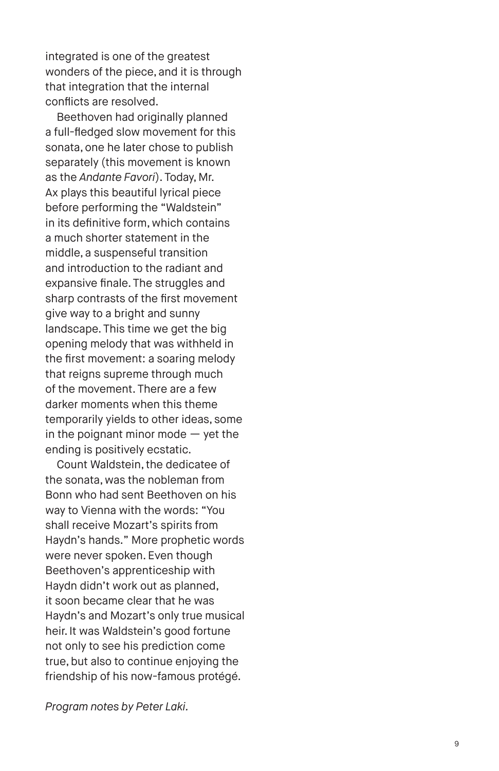integrated is one of the greatest wonders of the piece, and it is through that integration that the internal conflicts are resolved.

Beethoven had originally planned a full-fledged slow movement for this sonata, one he later chose to publish separately (this movement is known as the *Andante Favori*). Today, Mr. Ax plays this beautiful lyrical piece before performing the "Waldstein" in its definitive form, which contains a much shorter statement in the middle, a suspenseful transition and introduction to the radiant and expansive finale. The struggles and sharp contrasts of the first movement give way to a bright and sunny landscape. This time we get the big opening melody that was withheld in the first movement: a soaring melody that reigns supreme through much of the movement. There are a few darker moments when this theme temporarily yields to other ideas, some in the poignant minor mode  $-$  yet the ending is positively ecstatic.

Count Waldstein, the dedicatee of the sonata, was the nobleman from Bonn who had sent Beethoven on his way to Vienna with the words: "You shall receive Mozart's spirits from Haydn's hands." More prophetic words were never spoken. Even though Beethoven's apprenticeship with Haydn didn't work out as planned, it soon became clear that he was Haydn's and Mozart's only true musical heir. It was Waldstein's good fortune not only to see his prediction come true, but also to continue enjoying the friendship of his now-famous protégé.

*Program notes by Peter Laki.*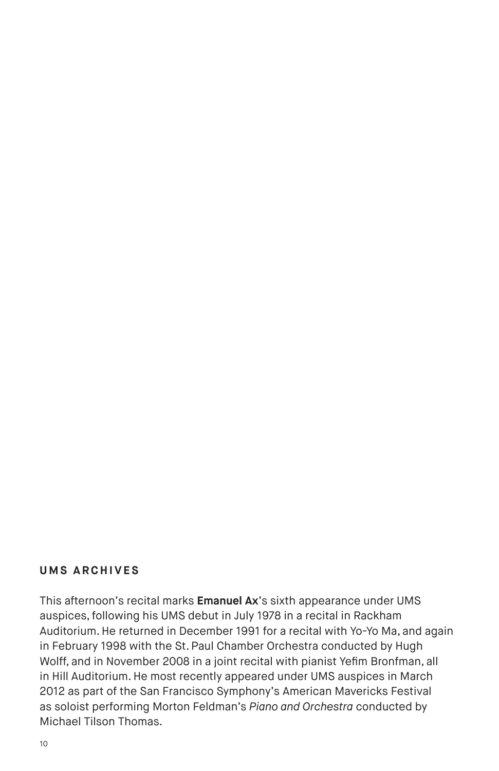# **UMS ARCHIVES**

This afternoon's recital marks **Emanuel Ax**'s sixth appearance under UMS auspices, following his UMS debut in July 1978 in a recital in Rackham Auditorium. He returned in December 1991 for a recital with Yo-Yo Ma, and again in February 1998 with the St. Paul Chamber Orchestra conducted by Hugh Wolff, and in November 2008 in a joint recital with pianist Yefim Bronfman, all in Hill Auditorium. He most recently appeared under UMS auspices in March 2012 as part of the San Francisco Symphony's American Mavericks Festival as soloist performing Morton Feldman's *Piano and Orchestra* conducted by Michael Tilson Thomas.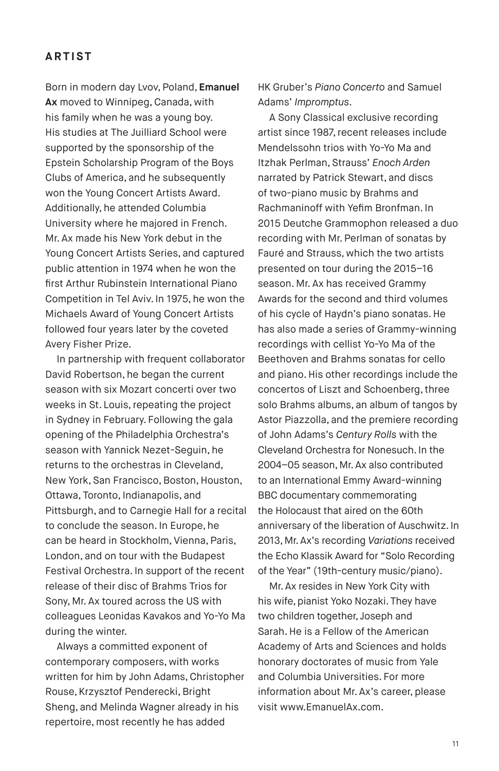# **ARTIST**

Born in modern day Lvov, Poland, **Emanuel Ax** moved to Winnipeg, Canada, with his family when he was a young boy. His studies at The Juilliard School were supported by the sponsorship of the Epstein Scholarship Program of the Boys Clubs of America, and he subsequently won the Young Concert Artists Award. Additionally, he attended Columbia University where he majored in French. Mr. Ax made his New York debut in the Young Concert Artists Series, and captured public attention in 1974 when he won the first Arthur Rubinstein International Piano Competition in Tel Aviv. In 1975, he won the Michaels Award of Young Concert Artists followed four years later by the coveted Avery Fisher Prize.

In partnership with frequent collaborator David Robertson, he began the current season with six Mozart concerti over two weeks in St. Louis, repeating the project in Sydney in February. Following the gala opening of the Philadelphia Orchestra's season with Yannick Nezet-Seguin, he returns to the orchestras in Cleveland, New York, San Francisco, Boston, Houston, Ottawa, Toronto, Indianapolis, and Pittsburgh, and to Carnegie Hall for a recital to conclude the season. In Europe, he can be heard in Stockholm, Vienna, Paris, London, and on tour with the Budapest Festival Orchestra. In support of the recent release of their disc of Brahms Trios for Sony, Mr. Ax toured across the US with colleagues Leonidas Kavakos and Yo-Yo Ma during the winter.

Always a committed exponent of contemporary composers, with works written for him by John Adams, Christopher Rouse, Krzysztof Penderecki, Bright Sheng, and Melinda Wagner already in his repertoire, most recently he has added

HK Gruber's *Piano Concerto* and Samuel Adams' *Impromptus*.

A Sony Classical exclusive recording artist since 1987, recent releases include Mendelssohn trios with Yo-Yo Ma and Itzhak Perlman, Strauss' *Enoch Arden* narrated by Patrick Stewart, and discs of two-piano music by Brahms and Rachmaninoff with Yefim Bronfman. In 2015 Deutche Grammophon released a duo recording with Mr. Perlman of sonatas by Fauré and Strauss, which the two artists presented on tour during the 2015–16 season. Mr. Ax has received Grammy Awards for the second and third volumes of his cycle of Haydn's piano sonatas. He has also made a series of Grammy-winning recordings with cellist Yo-Yo Ma of the Beethoven and Brahms sonatas for cello and piano. His other recordings include the concertos of Liszt and Schoenberg, three solo Brahms albums, an album of tangos by Astor Piazzolla, and the premiere recording of John Adams's *Century Rolls* with the Cleveland Orchestra for Nonesuch. In the 2004–05 season, Mr. Ax also contributed to an International Emmy Award-winning BBC documentary commemorating the Holocaust that aired on the 60th anniversary of the liberation of Auschwitz. In 2013, Mr. Ax's recording *Variations* received the Echo Klassik Award for "Solo Recording of the Year" (19th-century music/piano).

Mr. Ax resides in New York City with his wife, pianist Yoko Nozaki. They have two children together, Joseph and Sarah. He is a Fellow of the American Academy of Arts and Sciences and holds honorary doctorates of music from Yale and Columbia Universities. For more information about Mr. Ax's career, please visit www.EmanuelAx.com.